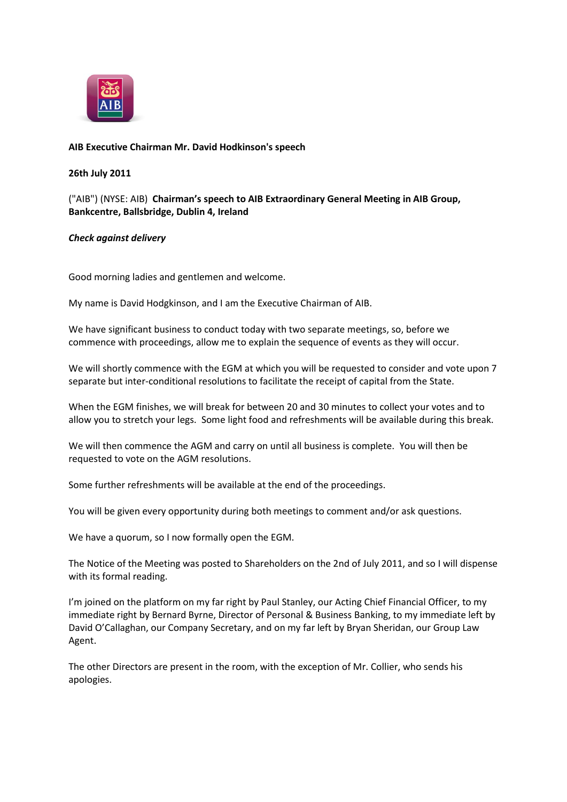

## **AIB Executive Chairman Mr. David Hodkinson's speech**

## **26th July 2011**

("AIB") (NYSE: AIB) **Chairman's speech to AIB Extraordinary General Meeting in AIB Group, Bankcentre, Ballsbridge, Dublin 4, Ireland**

## *Check against delivery*

Good morning ladies and gentlemen and welcome.

My name is David Hodgkinson, and I am the Executive Chairman of AIB.

We have significant business to conduct today with two separate meetings, so, before we commence with proceedings, allow me to explain the sequence of events as they will occur.

We will shortly commence with the EGM at which you will be requested to consider and vote upon 7 separate but inter-conditional resolutions to facilitate the receipt of capital from the State.

When the EGM finishes, we will break for between 20 and 30 minutes to collect your votes and to allow you to stretch your legs. Some light food and refreshments will be available during this break.

We will then commence the AGM and carry on until all business is complete. You will then be requested to vote on the AGM resolutions.

Some further refreshments will be available at the end of the proceedings.

You will be given every opportunity during both meetings to comment and/or ask questions.

We have a quorum, so I now formally open the EGM.

The Notice of the Meeting was posted to Shareholders on the 2nd of July 2011, and so I will dispense with its formal reading.

I'm joined on the platform on my far right by Paul Stanley, our Acting Chief Financial Officer, to my immediate right by Bernard Byrne, Director of Personal & Business Banking, to my immediate left by David O'Callaghan, our Company Secretary, and on my far left by Bryan Sheridan, our Group Law Agent.

The other Directors are present in the room, with the exception of Mr. Collier, who sends his apologies.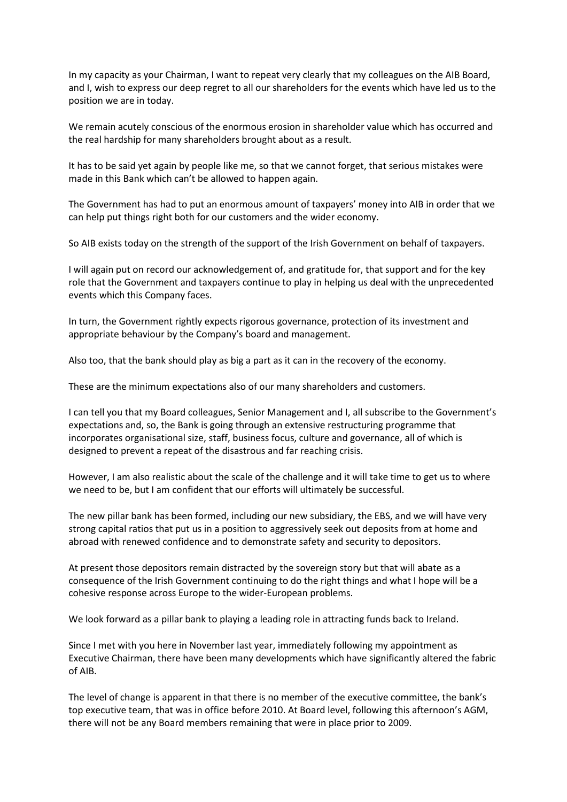In my capacity as your Chairman, I want to repeat very clearly that my colleagues on the AIB Board, and I, wish to express our deep regret to all our shareholders for the events which have led us to the position we are in today.

We remain acutely conscious of the enormous erosion in shareholder value which has occurred and the real hardship for many shareholders brought about as a result.

It has to be said yet again by people like me, so that we cannot forget, that serious mistakes were made in this Bank which can't be allowed to happen again.

The Government has had to put an enormous amount of taxpayers' money into AIB in order that we can help put things right both for our customers and the wider economy.

So AIB exists today on the strength of the support of the Irish Government on behalf of taxpayers.

I will again put on record our acknowledgement of, and gratitude for, that support and for the key role that the Government and taxpayers continue to play in helping us deal with the unprecedented events which this Company faces.

In turn, the Government rightly expects rigorous governance, protection of its investment and appropriate behaviour by the Company's board and management.

Also too, that the bank should play as big a part as it can in the recovery of the economy.

These are the minimum expectations also of our many shareholders and customers.

I can tell you that my Board colleagues, Senior Management and I, all subscribe to the Government's expectations and, so, the Bank is going through an extensive restructuring programme that incorporates organisational size, staff, business focus, culture and governance, all of which is designed to prevent a repeat of the disastrous and far reaching crisis.

However, I am also realistic about the scale of the challenge and it will take time to get us to where we need to be, but I am confident that our efforts will ultimately be successful.

The new pillar bank has been formed, including our new subsidiary, the EBS, and we will have very strong capital ratios that put us in a position to aggressively seek out deposits from at home and abroad with renewed confidence and to demonstrate safety and security to depositors.

At present those depositors remain distracted by the sovereign story but that will abate as a consequence of the Irish Government continuing to do the right things and what I hope will be a cohesive response across Europe to the wider-European problems.

We look forward as a pillar bank to playing a leading role in attracting funds back to Ireland.

Since I met with you here in November last year, immediately following my appointment as Executive Chairman, there have been many developments which have significantly altered the fabric of AIB.

The level of change is apparent in that there is no member of the executive committee, the bank's top executive team, that was in office before 2010. At Board level, following this afternoon's AGM, there will not be any Board members remaining that were in place prior to 2009.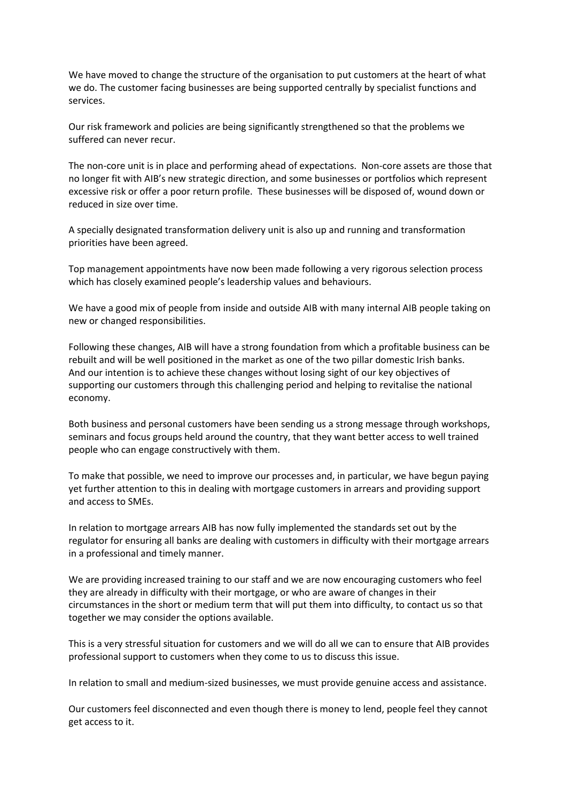We have moved to change the structure of the organisation to put customers at the heart of what we do. The customer facing businesses are being supported centrally by specialist functions and services.

Our risk framework and policies are being significantly strengthened so that the problems we suffered can never recur.

The non-core unit is in place and performing ahead of expectations. Non-core assets are those that no longer fit with AIB's new strategic direction, and some businesses or portfolios which represent excessive risk or offer a poor return profile. These businesses will be disposed of, wound down or reduced in size over time.

A specially designated transformation delivery unit is also up and running and transformation priorities have been agreed.

Top management appointments have now been made following a very rigorous selection process which has closely examined people's leadership values and behaviours.

We have a good mix of people from inside and outside AIB with many internal AIB people taking on new or changed responsibilities.

Following these changes, AIB will have a strong foundation from which a profitable business can be rebuilt and will be well positioned in the market as one of the two pillar domestic Irish banks. And our intention is to achieve these changes without losing sight of our key objectives of supporting our customers through this challenging period and helping to revitalise the national economy.

Both business and personal customers have been sending us a strong message through workshops, seminars and focus groups held around the country, that they want better access to well trained people who can engage constructively with them.

To make that possible, we need to improve our processes and, in particular, we have begun paying yet further attention to this in dealing with mortgage customers in arrears and providing support and access to SMEs.

In relation to mortgage arrears AIB has now fully implemented the standards set out by the regulator for ensuring all banks are dealing with customers in difficulty with their mortgage arrears in a professional and timely manner.

We are providing increased training to our staff and we are now encouraging customers who feel they are already in difficulty with their mortgage, or who are aware of changes in their circumstances in the short or medium term that will put them into difficulty, to contact us so that together we may consider the options available.

This is a very stressful situation for customers and we will do all we can to ensure that AIB provides professional support to customers when they come to us to discuss this issue.

In relation to small and medium-sized businesses, we must provide genuine access and assistance.

Our customers feel disconnected and even though there is money to lend, people feel they cannot get access to it.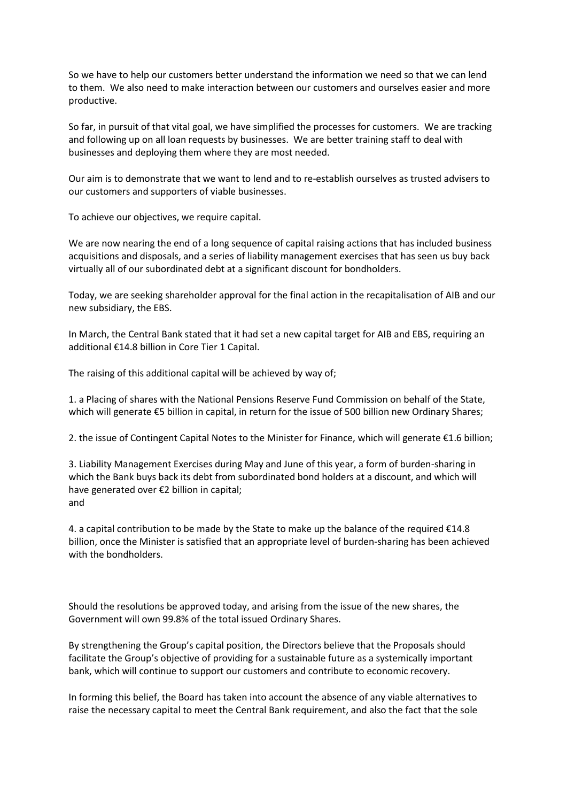So we have to help our customers better understand the information we need so that we can lend to them. We also need to make interaction between our customers and ourselves easier and more productive.

So far, in pursuit of that vital goal, we have simplified the processes for customers. We are tracking and following up on all loan requests by businesses. We are better training staff to deal with businesses and deploying them where they are most needed.

Our aim is to demonstrate that we want to lend and to re-establish ourselves as trusted advisers to our customers and supporters of viable businesses.

To achieve our objectives, we require capital.

We are now nearing the end of a long sequence of capital raising actions that has included business acquisitions and disposals, and a series of liability management exercises that has seen us buy back virtually all of our subordinated debt at a significant discount for bondholders.

Today, we are seeking shareholder approval for the final action in the recapitalisation of AIB and our new subsidiary, the EBS.

In March, the Central Bank stated that it had set a new capital target for AIB and EBS, requiring an additional €14.8 billion in Core Tier 1 Capital.

The raising of this additional capital will be achieved by way of;

1. a Placing of shares with the National Pensions Reserve Fund Commission on behalf of the State, which will generate €5 billion in capital, in return for the issue of 500 billion new Ordinary Shares;

2. the issue of Contingent Capital Notes to the Minister for Finance, which will generate €1.6 billion;

3. Liability Management Exercises during May and June of this year, a form of burden-sharing in which the Bank buys back its debt from subordinated bond holders at a discount, and which will have generated over €2 billion in capital; and

4. a capital contribution to be made by the State to make up the balance of the required  $\epsilon$ 14.8 billion, once the Minister is satisfied that an appropriate level of burden-sharing has been achieved with the bondholders.

Should the resolutions be approved today, and arising from the issue of the new shares, the Government will own 99.8% of the total issued Ordinary Shares.

By strengthening the Group's capital position, the Directors believe that the Proposals should facilitate the Group's objective of providing for a sustainable future as a systemically important bank, which will continue to support our customers and contribute to economic recovery.

In forming this belief, the Board has taken into account the absence of any viable alternatives to raise the necessary capital to meet the Central Bank requirement, and also the fact that the sole